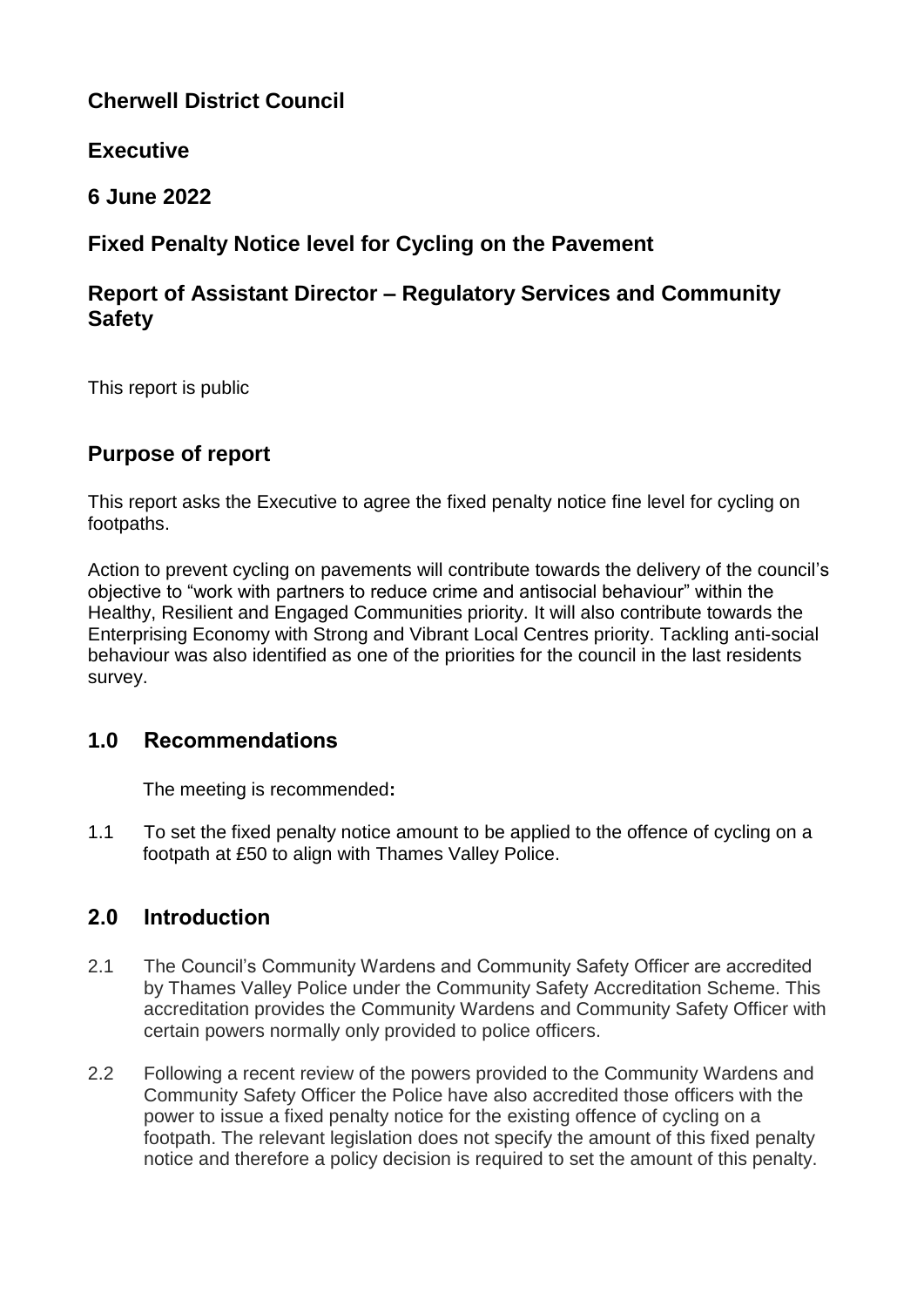# **Cherwell District Council**

# **Executive**

**6 June 2022**

# **Fixed Penalty Notice level for Cycling on the Pavement**

## **Report of Assistant Director – Regulatory Services and Community Safety**

This report is public

# **Purpose of report**

This report asks the Executive to agree the fixed penalty notice fine level for cycling on footpaths.

Action to prevent cycling on pavements will contribute towards the delivery of the council's objective to "work with partners to reduce crime and antisocial behaviour" within the Healthy, Resilient and Engaged Communities priority. It will also contribute towards the Enterprising Economy with Strong and Vibrant Local Centres priority. Tackling anti-social behaviour was also identified as one of the priorities for the council in the last residents survey.

## **1.0 Recommendations**

The meeting is recommended**:** 

1.1 To set the fixed penalty notice amount to be applied to the offence of cycling on a footpath at £50 to align with Thames Valley Police.

# **2.0 Introduction**

- 2.1 The Council's Community Wardens and Community Safety Officer are accredited by Thames Valley Police under the Community Safety Accreditation Scheme. This accreditation provides the Community Wardens and Community Safety Officer with certain powers normally only provided to police officers.
- 2.2 Following a recent review of the powers provided to the Community Wardens and Community Safety Officer the Police have also accredited those officers with the power to issue a fixed penalty notice for the existing offence of cycling on a footpath. The relevant legislation does not specify the amount of this fixed penalty notice and therefore a policy decision is required to set the amount of this penalty.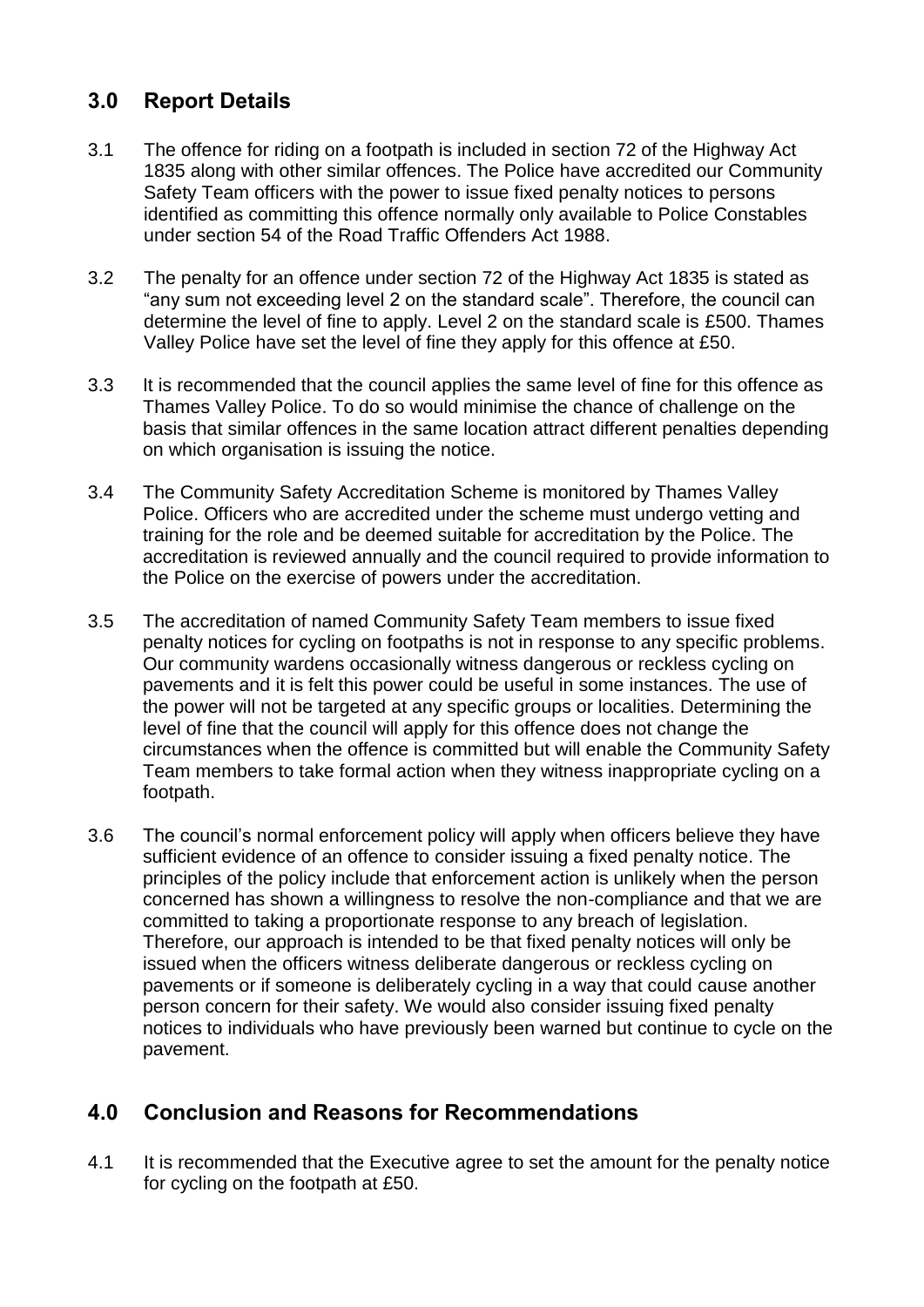# **3.0 Report Details**

- 3.1 The offence for riding on a footpath is included in section 72 of the Highway Act 1835 along with other similar offences. The Police have accredited our Community Safety Team officers with the power to issue fixed penalty notices to persons identified as committing this offence normally only available to Police Constables under section 54 of the Road Traffic Offenders Act 1988.
- 3.2 The penalty for an offence under section 72 of the Highway Act 1835 is stated as "any sum not exceeding level 2 on the standard scale". Therefore, the council can determine the level of fine to apply. Level 2 on the standard scale is £500. Thames Valley Police have set the level of fine they apply for this offence at £50.
- 3.3 It is recommended that the council applies the same level of fine for this offence as Thames Valley Police. To do so would minimise the chance of challenge on the basis that similar offences in the same location attract different penalties depending on which organisation is issuing the notice.
- 3.4 The Community Safety Accreditation Scheme is monitored by Thames Valley Police. Officers who are accredited under the scheme must undergo vetting and training for the role and be deemed suitable for accreditation by the Police. The accreditation is reviewed annually and the council required to provide information to the Police on the exercise of powers under the accreditation.
- 3.5 The accreditation of named Community Safety Team members to issue fixed penalty notices for cycling on footpaths is not in response to any specific problems. Our community wardens occasionally witness dangerous or reckless cycling on pavements and it is felt this power could be useful in some instances. The use of the power will not be targeted at any specific groups or localities. Determining the level of fine that the council will apply for this offence does not change the circumstances when the offence is committed but will enable the Community Safety Team members to take formal action when they witness inappropriate cycling on a footpath.
- 3.6 The council's normal enforcement policy will apply when officers believe they have sufficient evidence of an offence to consider issuing a fixed penalty notice. The principles of the policy include that enforcement action is unlikely when the person concerned has shown a willingness to resolve the non-compliance and that we are committed to taking a proportionate response to any breach of legislation. Therefore, our approach is intended to be that fixed penalty notices will only be issued when the officers witness deliberate dangerous or reckless cycling on pavements or if someone is deliberately cycling in a way that could cause another person concern for their safety. We would also consider issuing fixed penalty notices to individuals who have previously been warned but continue to cycle on the pavement.

## **4.0 Conclusion and Reasons for Recommendations**

4.1 It is recommended that the Executive agree to set the amount for the penalty notice for cycling on the footpath at £50.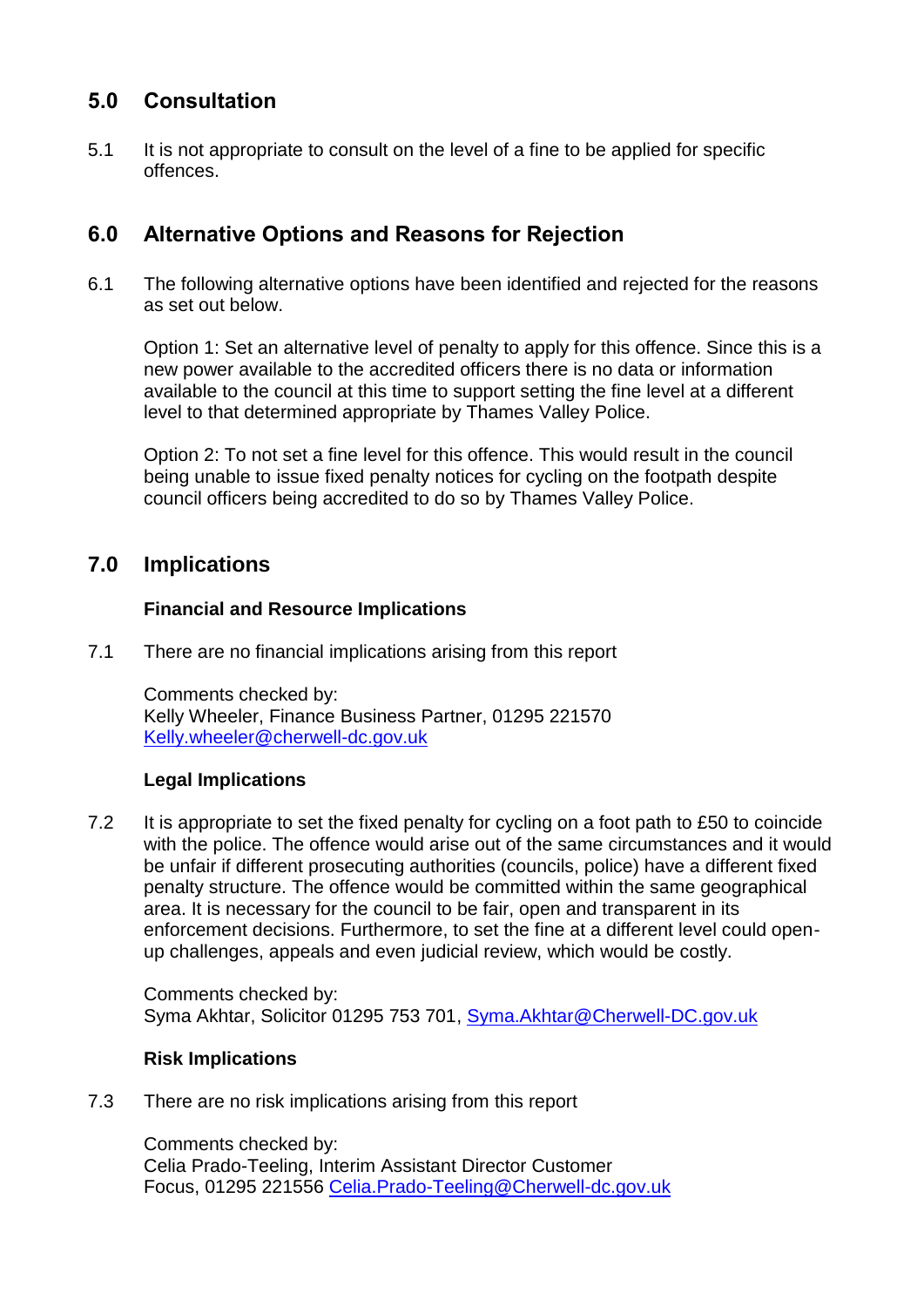# **5.0 Consultation**

5.1 It is not appropriate to consult on the level of a fine to be applied for specific offences.

## **6.0 Alternative Options and Reasons for Rejection**

6.1 The following alternative options have been identified and rejected for the reasons as set out below.

Option 1: Set an alternative level of penalty to apply for this offence. Since this is a new power available to the accredited officers there is no data or information available to the council at this time to support setting the fine level at a different level to that determined appropriate by Thames Valley Police.

Option 2: To not set a fine level for this offence. This would result in the council being unable to issue fixed penalty notices for cycling on the footpath despite council officers being accredited to do so by Thames Valley Police.

# **7.0 Implications**

### **Financial and Resource Implications**

7.1 There are no financial implications arising from this report

Comments checked by: Kelly Wheeler, Finance Business Partner, 01295 221570 [Kelly.wheeler@cherwell-dc.gov.uk](mailto:Kelly.wheeler@cherwell-dc.gov.uk)

### **Legal Implications**

7.2 It is appropriate to set the fixed penalty for cycling on a foot path to £50 to coincide with the police. The offence would arise out of the same circumstances and it would be unfair if different prosecuting authorities (councils, police) have a different fixed penalty structure. The offence would be committed within the same geographical area. It is necessary for the council to be fair, open and transparent in its enforcement decisions. Furthermore, to set the fine at a different level could openup challenges, appeals and even judicial review, which would be costly.

Comments checked by: Syma Akhtar, Solicitor 01295 753 701, [Syma.Akhtar@Cherwell-DC.gov.uk](mailto:Syma.Akhtar@Cherwell-DC.gov.uk)

### **Risk Implications**

7.3 There are no risk implications arising from this report

Comments checked by: Celia Prado-Teeling, Interim Assistant Director Customer Focus, 01295 221556 [Celia.Prado-Teeling@Cherwell-dc.gov.uk](mailto:Celia.Prado-Teeling@Cherwell-dc.gov.uk)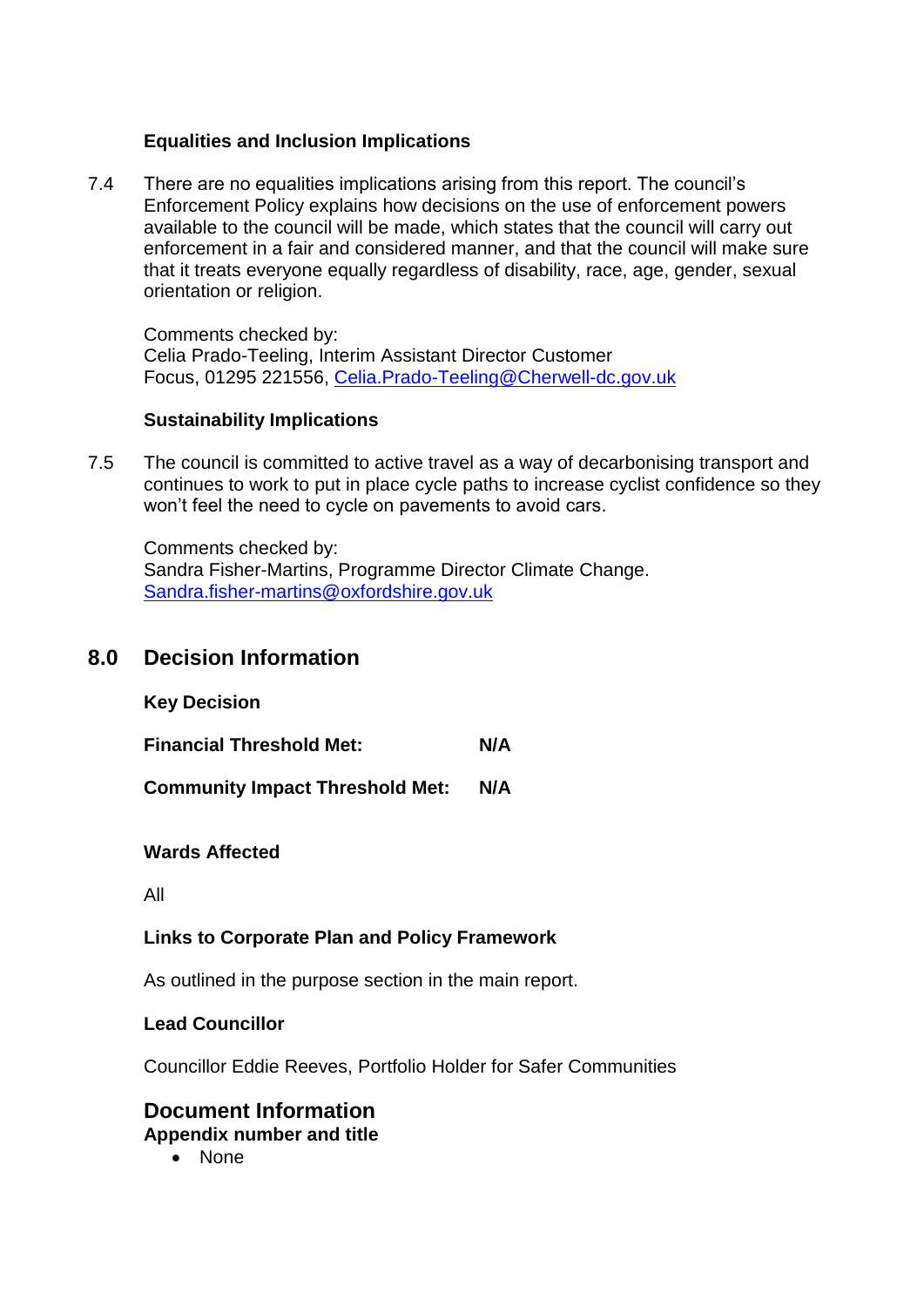#### **Equalities and Inclusion Implications**

7.4 There are no equalities implications arising from this report. The council's Enforcement Policy explains how decisions on the use of enforcement powers available to the council will be made, which states that the council will carry out enforcement in a fair and considered manner, and that the council will make sure that it treats everyone equally regardless of disability, race, age, gender, sexual orientation or religion.

Comments checked by: Celia Prado-Teeling, Interim Assistant Director Customer Focus, 01295 221556, [Celia.Prado-Teeling@Cherwell-dc.gov.uk](mailto:Celia.Prado-Teeling@Cherwell-dc.gov.uk)

#### **Sustainability Implications**

7.5 The council is committed to active travel as a way of decarbonising transport and continues to work to put in place cycle paths to increase cyclist confidence so they won't feel the need to cycle on pavements to avoid cars.

Comments checked by: Sandra Fisher-Martins, Programme Director Climate Change. [Sandra.fisher-martins@oxfordshire.gov.uk](mailto:Sandra.fisher-martins@oxfordshire.gov.uk)

### **8.0 Decision Information**

**Key Decision** 

**Financial Threshold Met: N/A**

**Community Impact Threshold Met: N/A**

#### **Wards Affected**

All

#### **Links to Corporate Plan and Policy Framework**

As outlined in the purpose section in the main report.

#### **Lead Councillor**

Councillor Eddie Reeves, Portfolio Holder for Safer Communities

#### **Document Information Appendix number and title**

• None